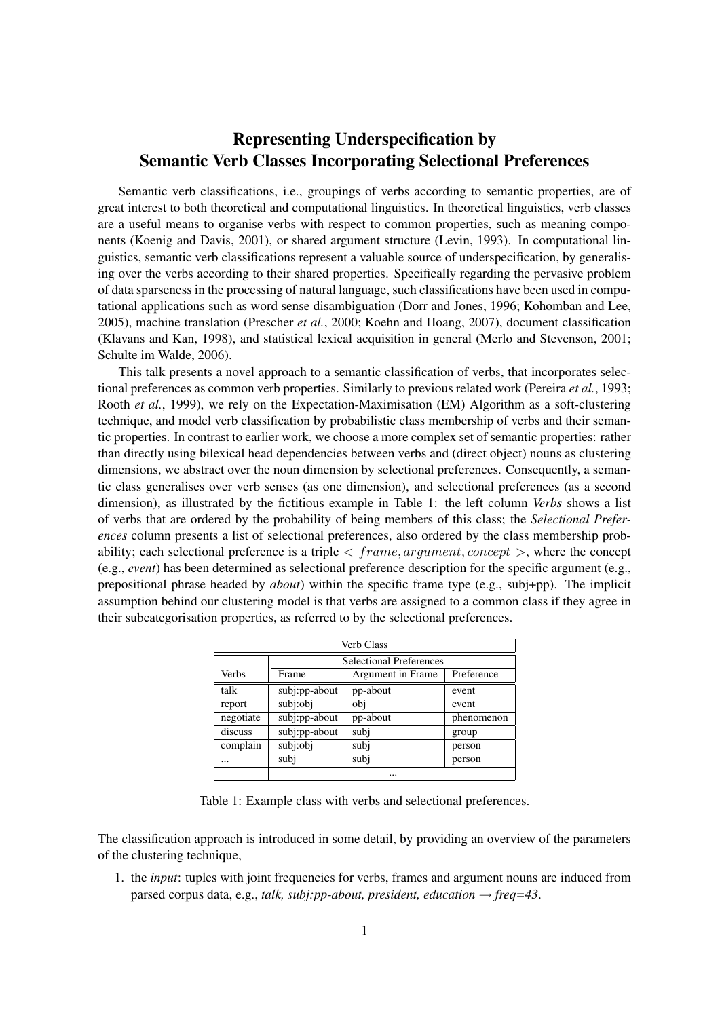## Representing Underspecification by Semantic Verb Classes Incorporating Selectional Preferences

Semantic verb classifications, i.e., groupings of verbs according to semantic properties, are of great interest to both theoretical and computational linguistics. In theoretical linguistics, verb classes are a useful means to organise verbs with respect to common properties, such as meaning components (Koenig and Davis, 2001), or shared argument structure (Levin, 1993). In computational linguistics, semantic verb classifications represent a valuable source of underspecification, by generalising over the verbs according to their shared properties. Specifically regarding the pervasive problem of data sparseness in the processing of natural language, such classifications have been used in computational applications such as word sense disambiguation (Dorr and Jones, 1996; Kohomban and Lee, 2005), machine translation (Prescher *et al.*, 2000; Koehn and Hoang, 2007), document classification (Klavans and Kan, 1998), and statistical lexical acquisition in general (Merlo and Stevenson, 2001; Schulte im Walde, 2006).

This talk presents a novel approach to a semantic classification of verbs, that incorporates selectional preferences as common verb properties. Similarly to previous related work (Pereira *et al.*, 1993; Rooth *et al.*, 1999), we rely on the Expectation-Maximisation (EM) Algorithm as a soft-clustering technique, and model verb classification by probabilistic class membership of verbs and their semantic properties. In contrast to earlier work, we choose a more complex set of semantic properties: rather than directly using bilexical head dependencies between verbs and (direct object) nouns as clustering dimensions, we abstract over the noun dimension by selectional preferences. Consequently, a semantic class generalises over verb senses (as one dimension), and selectional preferences (as a second dimension), as illustrated by the fictitious example in Table 1: the left column *Verbs* shows a list of verbs that are ordered by the probability of being members of this class; the *Selectional Preferences* column presents a list of selectional preferences, also ordered by the class membership probability; each selectional preference is a triple *< frame, argument, concept >*, where the concept (e.g., *event*) has been determined as selectional preference description for the specific argument (e.g., prepositional phrase headed by *about*) within the specific frame type (e.g., subj+pp). The implicit assumption behind our clustering model is that verbs are assigned to a common class if they agree in their subcategorisation properties, as referred to by the selectional preferences.

| <b>Verb Class</b> |                                |                   |            |
|-------------------|--------------------------------|-------------------|------------|
|                   | <b>Selectional Preferences</b> |                   |            |
| Verbs             | Frame                          | Argument in Frame | Preference |
| talk              | subj:pp-about                  | pp-about          | event      |
| report            | subj:obj                       | obj               | event      |
| negotiate         | subj:pp-about                  | pp-about          | phenomenon |
| discuss           | subj:pp-about                  | subj              | group      |
| complain          | subj:obj                       | subj              | person     |
|                   | subj                           | subj              | person     |
|                   |                                |                   |            |

Table 1: Example class with verbs and selectional preferences.

The classification approach is introduced in some detail, by providing an overview of the parameters of the clustering technique,

1. the *input*: tuples with joint frequencies for verbs, frames and argument nouns are induced from parsed corpus data, e.g., *talk, subj:pp-about, president, education → freq=43*.